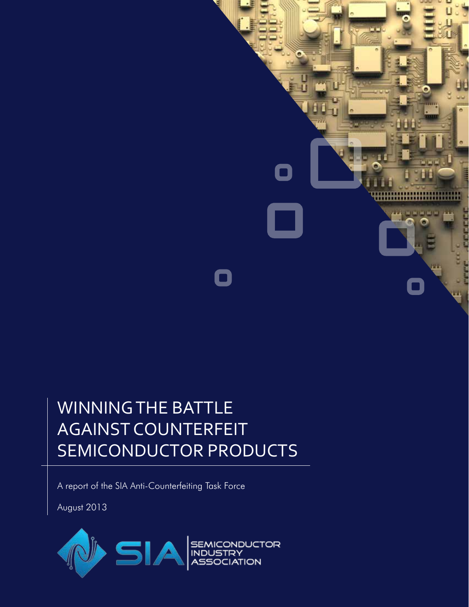

# WINNING THE BATTLE AGAINST COUNTERFEIT SEMICONDUCTOR PRODUCTS

A report of the SIA Anti-Counterfeiting Task Force

August 2013

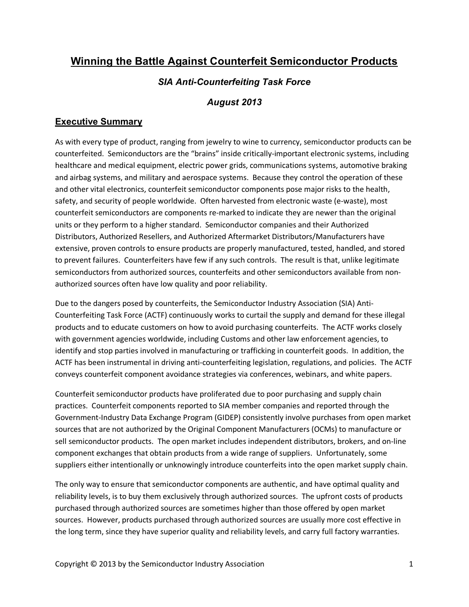# **Winning the Battle Against Counterfeit Semiconductor Products**

## *SIA Anti-Counterfeiting Task Force*

## *August 2013*

## **Executive Summary**

As with every type of product, ranging from jewelry to wine to currency, semiconductor products can be counterfeited. Semiconductors are the "brains" inside critically-important electronic systems, including healthcare and medical equipment, electric power grids, communications systems, automotive braking and airbag systems, and military and aerospace systems. Because they control the operation of these and other vital electronics, counterfeit semiconductor components pose major risks to the health, safety, and security of people worldwide. Often harvested from electronic waste (e-waste), most counterfeit semiconductors are components re-marked to indicate they are newer than the original units or they perform to a higher standard. Semiconductor companies and their Authorized Distributors, Authorized Resellers, and Authorized Aftermarket Distributors/Manufacturers have extensive, proven controls to ensure products are properly manufactured, tested, handled, and stored to prevent failures. Counterfeiters have few if any such controls. The result is that, unlike legitimate semiconductors from authorized sources, counterfeits and other semiconductors available from nonauthorized sources often have low quality and poor reliability.

Due to the dangers posed by counterfeits, the Semiconductor Industry Association (SIA) Anti-Counterfeiting Task Force (ACTF) continuously works to curtail the supply and demand for these illegal products and to educate customers on how to avoid purchasing counterfeits. The ACTF works closely with government agencies worldwide, including Customs and other law enforcement agencies, to identify and stop parties involved in manufacturing or trafficking in counterfeit goods. In addition, the ACTF has been instrumental in driving anti-counterfeiting legislation, regulations, and policies. The ACTF conveys counterfeit component avoidance strategies via conferences, webinars, and white papers.

Counterfeit semiconductor products have proliferated due to poor purchasing and supply chain practices. Counterfeit components reported to SIA member companies and reported through the Government-Industry Data Exchange Program (GIDEP) consistently involve purchases from open market sources that are not authorized by the Original Component Manufacturers (OCMs) to manufacture or sell semiconductor products. The open market includes independent distributors, brokers, and on-line component exchanges that obtain products from a wide range of suppliers. Unfortunately, some suppliers either intentionally or unknowingly introduce counterfeits into the open market supply chain.

The only way to ensure that semiconductor components are authentic, and have optimal quality and reliability levels, is to buy them exclusively through authorized sources. The upfront costs of products purchased through authorized sources are sometimes higher than those offered by open market sources. However, products purchased through authorized sources are usually more cost effective in the long term, since they have superior quality and reliability levels, and carry full factory warranties.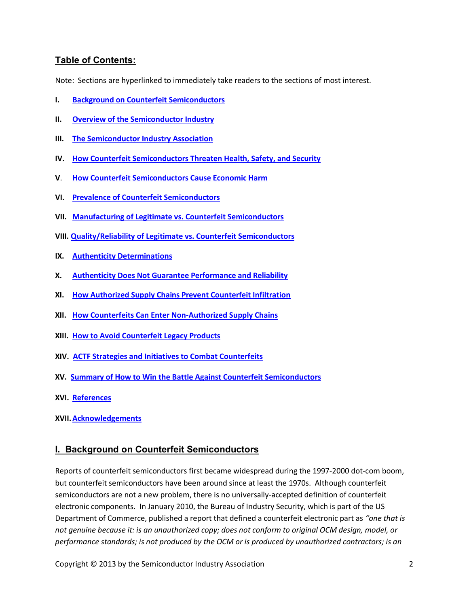## **Table of Contents:**

Note: Sections are hyperlinked to immediately take readers to the sections of most interest.

- **I. [Background on Counterfeit Semiconductors](#page-2-0)**
- **II. [Overview of the Semiconductor Industry](#page-4-0)**
- **III. [The Semiconductor Industry Association](#page-5-0)**
- **IV. [How Counterfeit Semiconductors Threaten Health, Safety, and Security](#page-5-1)**
- **V**. **[How Counterfeit Semiconductors Cause Economic Harm](#page-6-0)**
- **VI. [Prevalence of Counterfeit Semiconductors](#page-7-0)**
- **VII. [Manufacturing of Legitimate vs. Counterfeit Semiconductors](#page-9-0)**
- **VIII. [Quality/Reliability of Legitimate vs. Counterfeit Semiconductors](#page-12-0)**
- **IX. [Authenticity Determinations](#page-16-0)**
- **X. [Authenticity Does Not Guarantee Performance and Reliability](#page-18-0)**
- **XI. [How Authorized Supply Chains Prevent Counterfeit Infiltration](#page-18-1)**
- **XII. [How Counterfeits Can Enter Non-Authorized Supply Chains](#page-19-0)**
- **XIII. [How to Avoid Counterfeit Legacy Products](#page-20-0)**
- **XIV. [ACTF Strategies and Initiatives to Combat Counterfeits](#page-21-0)**
- **XV. [Summary of How to Win the Battle Against Counterfeit Semiconductors](#page-24-0)**
- **XVI. [References](#page-25-0)**
- **XVII.[Acknowledgements](#page-27-0)**

## <span id="page-2-0"></span>**I. Background on Counterfeit Semiconductors**

Reports of counterfeit semiconductors first became widespread during the 1997-2000 dot-com boom, but counterfeit semiconductors have been around since at least the 1970s. Although counterfeit semiconductors are not a new problem, there is no universally-accepted definition of counterfeit electronic components. In January 2010, the Bureau of Industry Security, which is part of the US Department of Commerce, published a report that defined a counterfeit electronic part as *"one that is not genuine because it: is an unauthorized copy; does not conform to original OCM design, model, or performance standards; is not produced by the OCM or is produced by unauthorized contractors; is an*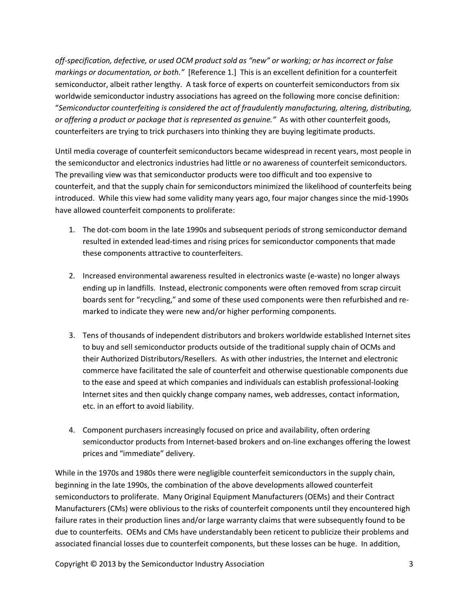*off-specification, defective, or used OCM product sold as "new" or working; or has incorrect or false markings or documentation, or both."* [Reference 1.] This is an excellent definition for a counterfeit semiconductor, albeit rather lengthy. A task force of experts on counterfeit semiconductors from six worldwide semiconductor industry associations has agreed on the following more concise definition: "*Semiconductor counterfeiting is considered the act of fraudulently manufacturing, altering, distributing, or offering a product or package that is represented as genuine."* As with other counterfeit goods, counterfeiters are trying to trick purchasers into thinking they are buying legitimate products.

Until media coverage of counterfeit semiconductors became widespread in recent years, most people in the semiconductor and electronics industries had little or no awareness of counterfeit semiconductors. The prevailing view was that semiconductor products were too difficult and too expensive to counterfeit, and that the supply chain for semiconductors minimized the likelihood of counterfeits being introduced. While this view had some validity many years ago, four major changes since the mid-1990s have allowed counterfeit components to proliferate:

- 1. The dot-com boom in the late 1990s and subsequent periods of strong semiconductor demand resulted in extended lead-times and rising prices for semiconductor components that made these components attractive to counterfeiters.
- 2. Increased environmental awareness resulted in electronics waste (e-waste) no longer always ending up in landfills. Instead, electronic components were often removed from scrap circuit boards sent for "recycling," and some of these used components were then refurbished and remarked to indicate they were new and/or higher performing components.
- 3. Tens of thousands of independent distributors and brokers worldwide established Internet sites to buy and sell semiconductor products outside of the traditional supply chain of OCMs and their Authorized Distributors/Resellers. As with other industries, the Internet and electronic commerce have facilitated the sale of counterfeit and otherwise questionable components due to the ease and speed at which companies and individuals can establish professional-looking Internet sites and then quickly change company names, web addresses, contact information, etc. in an effort to avoid liability.
- 4. Component purchasers increasingly focused on price and availability, often ordering semiconductor products from Internet-based brokers and on-line exchanges offering the lowest prices and "immediate" delivery.

While in the 1970s and 1980s there were negligible counterfeit semiconductors in the supply chain, beginning in the late 1990s, the combination of the above developments allowed counterfeit semiconductors to proliferate. Many Original Equipment Manufacturers (OEMs) and their Contract Manufacturers (CMs) were oblivious to the risks of counterfeit components until they encountered high failure rates in their production lines and/or large warranty claims that were subsequently found to be due to counterfeits. OEMs and CMs have understandably been reticent to publicize their problems and associated financial losses due to counterfeit components, but these losses can be huge. In addition,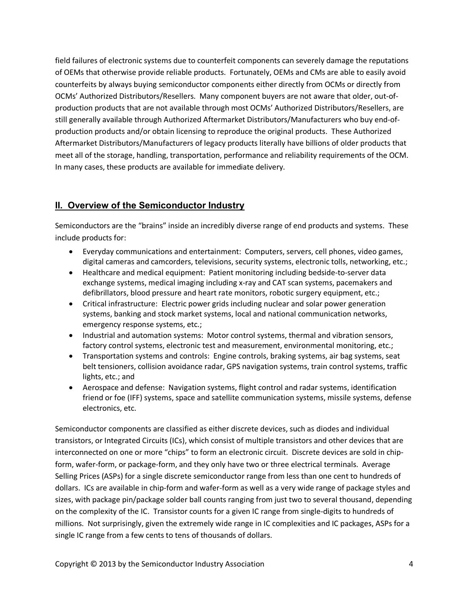field failures of electronic systems due to counterfeit components can severely damage the reputations of OEMs that otherwise provide reliable products. Fortunately, OEMs and CMs are able to easily avoid counterfeits by always buying semiconductor components either directly from OCMs or directly from OCMs' Authorized Distributors/Resellers. Many component buyers are not aware that older, out-ofproduction products that are not available through most OCMs' Authorized Distributors/Resellers, are still generally available through Authorized Aftermarket Distributors/Manufacturers who buy end-ofproduction products and/or obtain licensing to reproduce the original products. These Authorized Aftermarket Distributors/Manufacturers of legacy products literally have billions of older products that meet all of the storage, handling, transportation, performance and reliability requirements of the OCM. In many cases, these products are available for immediate delivery.

# **II. Overview of the Semiconductor Industry**

Semiconductors are the "brains" inside an incredibly diverse range of end products and systems. These include products for:

- <span id="page-4-0"></span> Everyday communications and entertainment: Computers, servers, cell phones, video games, digital cameras and camcorders, televisions, security systems, electronic tolls, networking, etc.;
- Healthcare and medical equipment: Patient monitoring including bedside-to-server data exchange systems, medical imaging including x-ray and CAT scan systems, pacemakers and defibrillators, blood pressure and heart rate monitors, robotic surgery equipment, etc.;
- Critical infrastructure: Electric power grids including nuclear and solar power generation systems, banking and stock market systems, local and national communication networks, emergency response systems, etc.;
- Industrial and automation systems: Motor control systems, thermal and vibration sensors, factory control systems, electronic test and measurement, environmental monitoring, etc.;
- Transportation systems and controls: Engine controls, braking systems, air bag systems, seat belt tensioners, collision avoidance radar, GPS navigation systems, train control systems, traffic lights, etc.; and
- Aerospace and defense: Navigation systems, flight control and radar systems, identification friend or foe (IFF) systems, space and satellite communication systems, missile systems, defense electronics, etc.

Semiconductor components are classified as either discrete devices, such as diodes and individual transistors, or Integrated Circuits (ICs), which consist of multiple transistors and other devices that are interconnected on one or more "chips" to form an electronic circuit. Discrete devices are sold in chipform, wafer-form, or package-form, and they only have two or three electrical terminals. Average Selling Prices (ASPs) for a single discrete semiconductor range from less than one cent to hundreds of dollars. ICs are available in chip-form and wafer-form as well as a very wide range of package styles and sizes, with package pin/package solder ball counts ranging from just two to several thousand, depending on the complexity of the IC. Transistor counts for a given IC range from single-digits to hundreds of millions. Not surprisingly, given the extremely wide range in IC complexities and IC packages, ASPs for a single IC range from a few cents to tens of thousands of dollars.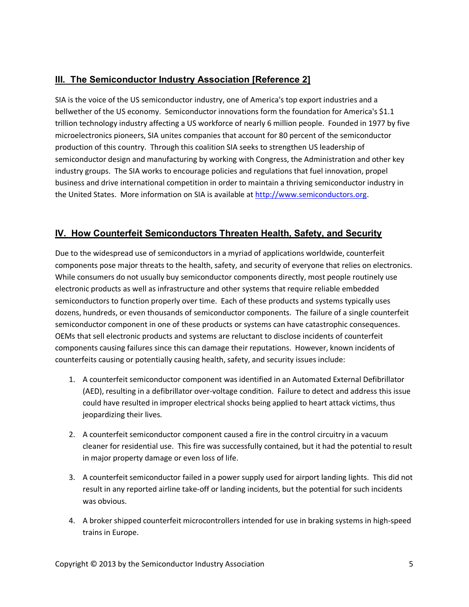# <span id="page-5-0"></span>**III. The Semiconductor Industry Association [Reference 2]**

SIA is the voice of the US semiconductor industry, one of America's top export industries and a bellwether of the US economy. Semiconductor innovations form the foundation for America's \$1.1 trillion technology industry affecting a US workforce of nearly 6 million people. Founded in 1977 by five microelectronics pioneers, SIA unites companies that account for 80 percent of the semiconductor production of this country. Through this coalition SIA seeks to strengthen US leadership of semiconductor design and manufacturing by working with Congress, the Administration and other key industry groups. The SIA works to encourage policies and regulations that fuel innovation, propel business and drive international competition in order to maintain a thriving semiconductor industry in the United States. More information on SIA is available at [http://www.semiconductors.org](http://www.semiconductors.org/).

# <span id="page-5-1"></span>**IV. How Counterfeit Semiconductors Threaten Health, Safety, and Security**

Due to the widespread use of semiconductors in a myriad of applications worldwide, counterfeit components pose major threats to the health, safety, and security of everyone that relies on electronics. While consumers do not usually buy semiconductor components directly, most people routinely use electronic products as well as infrastructure and other systems that require reliable embedded semiconductors to function properly over time. Each of these products and systems typically uses dozens, hundreds, or even thousands of semiconductor components. The failure of a single counterfeit semiconductor component in one of these products or systems can have catastrophic consequences. OEMs that sell electronic products and systems are reluctant to disclose incidents of counterfeit components causing failures since this can damage their reputations. However, known incidents of counterfeits causing or potentially causing health, safety, and security issues include:

- 1. A counterfeit semiconductor component was identified in an Automated External Defibrillator (AED), resulting in a defibrillator over-voltage condition. Failure to detect and address this issue could have resulted in improper electrical shocks being applied to heart attack victims, thus jeopardizing their lives.
- 2. A counterfeit semiconductor component caused a fire in the control circuitry in a vacuum cleaner for residential use. This fire was successfully contained, but it had the potential to result in major property damage or even loss of life.
- 3. A counterfeit semiconductor failed in a power supply used for airport landing lights. This did not result in any reported airline take-off or landing incidents, but the potential for such incidents was obvious.
- 4. A broker shipped counterfeit microcontrollers intended for use in braking systems in high-speed trains in Europe.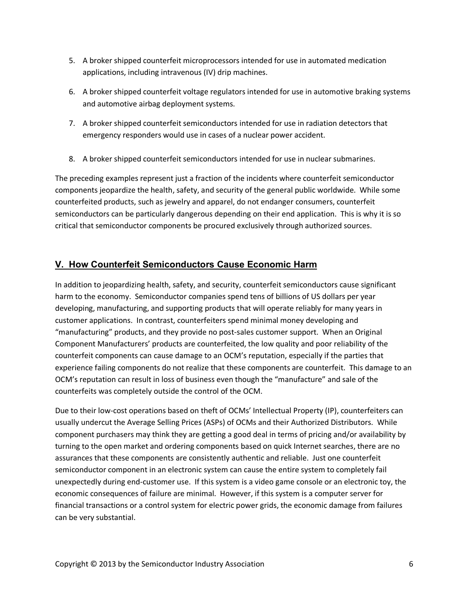- 5. A broker shipped counterfeit microprocessors intended for use in automated medication applications, including intravenous (IV) drip machines.
- 6. A broker shipped counterfeit voltage regulators intended for use in automotive braking systems and automotive airbag deployment systems.
- 7. A broker shipped counterfeit semiconductors intended for use in radiation detectors that emergency responders would use in cases of a nuclear power accident.
- 8. A broker shipped counterfeit semiconductors intended for use in nuclear submarines.

The preceding examples represent just a fraction of the incidents where counterfeit semiconductor components jeopardize the health, safety, and security of the general public worldwide. While some counterfeited products, such as jewelry and apparel, do not endanger consumers, counterfeit semiconductors can be particularly dangerous depending on their end application. This is why it is so critical that semiconductor components be procured exclusively through authorized sources.

# <span id="page-6-0"></span>**V. How Counterfeit Semiconductors Cause Economic Harm**

In addition to jeopardizing health, safety, and security, counterfeit semiconductors cause significant harm to the economy. Semiconductor companies spend tens of billions of US dollars per year developing, manufacturing, and supporting products that will operate reliably for many years in customer applications. In contrast, counterfeiters spend minimal money developing and "manufacturing" products, and they provide no post-sales customer support. When an Original Component Manufacturers' products are counterfeited, the low quality and poor reliability of the counterfeit components can cause damage to an OCM's reputation, especially if the parties that experience failing components do not realize that these components are counterfeit. This damage to an OCM's reputation can result in loss of business even though the "manufacture" and sale of the counterfeits was completely outside the control of the OCM.

Due to their low-cost operations based on theft of OCMs' Intellectual Property (IP), counterfeiters can usually undercut the Average Selling Prices (ASPs) of OCMs and their Authorized Distributors. While component purchasers may think they are getting a good deal in terms of pricing and/or availability by turning to the open market and ordering components based on quick Internet searches, there are no assurances that these components are consistently authentic and reliable. Just one counterfeit semiconductor component in an electronic system can cause the entire system to completely fail unexpectedly during end-customer use. If this system is a video game console or an electronic toy, the economic consequences of failure are minimal. However, if this system is a computer server for financial transactions or a control system for electric power grids, the economic damage from failures can be very substantial.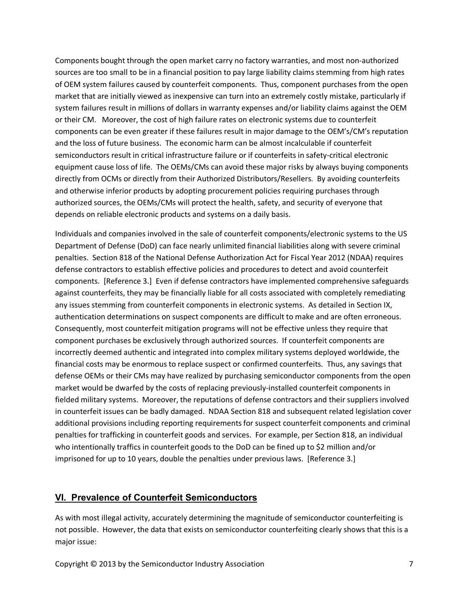Components bought through the open market carry no factory warranties, and most non-authorized sources are too small to be in a financial position to pay large liability claims stemming from high rates of OEM system failures caused by counterfeit components. Thus, component purchases from the open market that are initially viewed as inexpensive can turn into an extremely costly mistake, particularly if system failures result in millions of dollars in warranty expenses and/or liability claims against the OEM or their CM. Moreover, the cost of high failure rates on electronic systems due to counterfeit components can be even greater if these failures result in major damage to the OEM's/CM's reputation and the loss of future business. The economic harm can be almost incalculable if counterfeit semiconductors result in critical infrastructure failure or if counterfeits in safety-critical electronic equipment cause loss of life. The OEMs/CMs can avoid these major risks by always buying components directly from OCMs or directly from their Authorized Distributors/Resellers. By avoiding counterfeits and otherwise inferior products by adopting procurement policies requiring purchases through authorized sources, the OEMs/CMs will protect the health, safety, and security of everyone that depends on reliable electronic products and systems on a daily basis.

Individuals and companies involved in the sale of counterfeit components/electronic systems to the US Department of Defense (DoD) can face nearly unlimited financial liabilities along with severe criminal penalties. Section 818 of the National Defense Authorization Act for Fiscal Year 2012 (NDAA) requires defense contractors to establish effective policies and procedures to detect and avoid counterfeit components. [Reference 3.] Even if defense contractors have implemented comprehensive safeguards against counterfeits, they may be financially liable for all costs associated with completely remediating any issues stemming from counterfeit components in electronic systems. As detailed in Section IX, authentication determinations on suspect components are difficult to make and are often erroneous. Consequently, most counterfeit mitigation programs will not be effective unless they require that component purchases be exclusively through authorized sources. If counterfeit components are incorrectly deemed authentic and integrated into complex military systems deployed worldwide, the financial costs may be enormous to replace suspect or confirmed counterfeits. Thus, any savings that defense OEMs or their CMs may have realized by purchasing semiconductor components from the open market would be dwarfed by the costs of replacing previously-installed counterfeit components in fielded military systems. Moreover, the reputations of defense contractors and their suppliers involved in counterfeit issues can be badly damaged. NDAA Section 818 and subsequent related legislation cover additional provisions including reporting requirements for suspect counterfeit components and criminal penalties for trafficking in counterfeit goods and services. For example, per Section 818, an individual who intentionally traffics in counterfeit goods to the DoD can be fined up to \$2 million and/or imprisoned for up to 10 years, double the penalties under previous laws. [Reference 3.]

#### <span id="page-7-0"></span>**VI. Prevalence of Counterfeit Semiconductors**

As with most illegal activity, accurately determining the magnitude of semiconductor counterfeiting is not possible. However, the data that exists on semiconductor counterfeiting clearly shows that this is a major issue: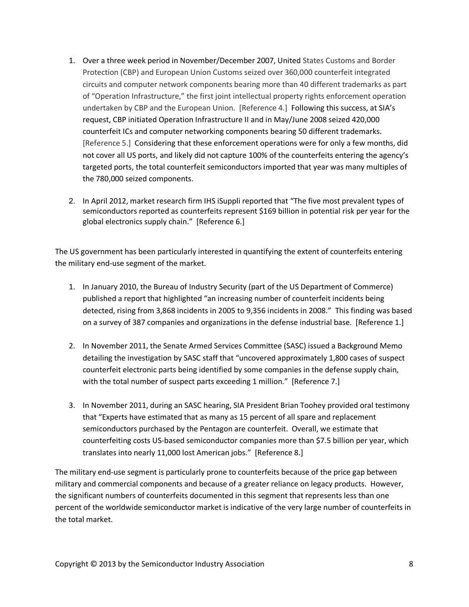- 1. Over a three week period in November/December 2007, United States Customs and Border Protection (CBP) and European Union Customs seized over 360,000 counterfeit integrated circuits and computer network components bearing more than 40 different trademarks as part of "Operation Infrastructure," the first joint intellectual property rights enforcement operation undertaken by CBP and the European Union. [Reference 4.] Following this success, at SIA's request, CBP initiated Operation Infrastructure II and in May/June 2008 seized 420,000 counterfeit ICs and computer networking components bearing 50 different trademarks. [Reference 5.] Considering that these enforcement operations were for only a few months, did not cover all US ports, and likely did not capture 100% of the counterfeits entering the agency's targeted ports, the total counterfeit semiconductors imported that year was many multiples of the 780,000 seized components.
- 2. In April 2012, market research firm IHS iSuppli reported that "The five most prevalent types of semiconductors reported as counterfeits represent \$169 billion in potential risk per year for the global electronics supply chain." [Reference 6.]

The US government has been particularly interested in quantifying the extent of counterfeits entering the military end-use segment of the market.

- 1. In January 2010, the Bureau of Industry Security (part of the US Department of Commerce) published a report that highlighted "an increasing number of counterfeit incidents being detected, rising from 3,868 incidents in 2005 to 9,356 incidents in 2008." This finding was based on a survey of 387 companies and organizations in the defense industrial base. [Reference 1.]
- 2. In November 2011, the Senate Armed Services Committee (SASC) issued a Background Memo detailing the investigation by SASC staff that "uncovered approximately 1,800 cases of suspect counterfeit electronic parts being identified by some companies in the defense supply chain, with the total number of suspect parts exceeding 1 million." [Reference 7.]
- 3. In November 2011, during an SASC hearing, SIA President Brian Toohey provided oral testimony that "Experts have estimated that as many as 15 percent of all spare and replacement semiconductors purchased by the Pentagon are counterfeit. Overall, we estimate that counterfeiting costs US-based semiconductor companies more than \$7.5 billion per year, which translates into nearly 11,000 lost American jobs." [Reference 8.]

The military end-use segment is particularly prone to counterfeits because of the price gap between military and commercial components and because of a greater reliance on legacy products. However, the significant numbers of counterfeits documented in this segment that represents less than one percent of the worldwide semiconductor market is indicative of the very large number of counterfeits in the total market.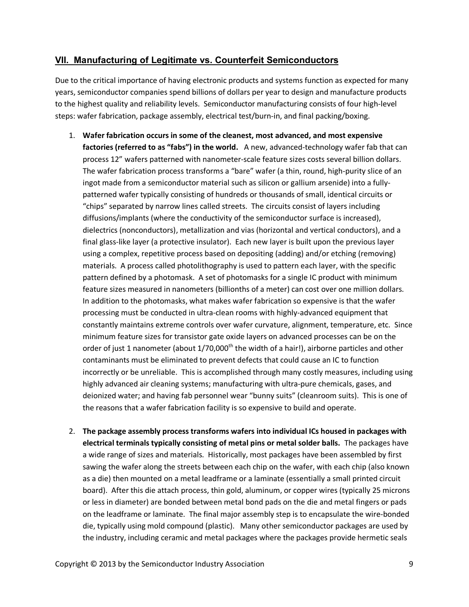## <span id="page-9-0"></span>**VII. Manufacturing of Legitimate vs. Counterfeit Semiconductors**

Due to the critical importance of having electronic products and systems function as expected for many years, semiconductor companies spend billions of dollars per year to design and manufacture products to the highest quality and reliability levels. Semiconductor manufacturing consists of four high-level steps: wafer fabrication, package assembly, electrical test/burn-in, and final packing/boxing.

- 1. **Wafer fabrication occurs in some of the cleanest, most advanced, and most expensive factories (referred to as "fabs") in the world.** A new, advanced-technology wafer fab that can process 12" wafers patterned with nanometer-scale feature sizes costs several billion dollars. The wafer fabrication process transforms a "bare" wafer (a thin, round, high-purity slice of an ingot made from a semiconductor material such as silicon or gallium arsenide) into a fullypatterned wafer typically consisting of hundreds or thousands of small, identical circuits or "chips" separated by narrow lines called streets. The circuits consist of layers including diffusions/implants (where the conductivity of the semiconductor surface is increased), dielectrics (nonconductors), metallization and vias (horizontal and vertical conductors), and a final glass-like layer (a protective insulator). Each new layer is built upon the previous layer using a complex, repetitive process based on depositing (adding) and/or etching (removing) materials. A process called photolithography is used to pattern each layer, with the specific pattern defined by a photomask. A set of photomasks for a single IC product with minimum feature sizes measured in nanometers (billionths of a meter) can cost over one million dollars. In addition to the photomasks, what makes wafer fabrication so expensive is that the wafer processing must be conducted in ultra-clean rooms with highly-advanced equipment that constantly maintains extreme controls over wafer curvature, alignment, temperature, etc. Since minimum feature sizes for transistor gate oxide layers on advanced processes can be on the order of just 1 nanometer (about 1/70,000<sup>th</sup> the width of a hair!), airborne particles and other contaminants must be eliminated to prevent defects that could cause an IC to function incorrectly or be unreliable. This is accomplished through many costly measures, including using highly advanced air cleaning systems; manufacturing with ultra-pure chemicals, gases, and deionized water; and having fab personnel wear "bunny suits" (cleanroom suits). This is one of the reasons that a wafer fabrication facility is so expensive to build and operate.
- 2. **The package assembly process transforms wafers into individual ICs housed in packages with electrical terminals typically consisting of metal pins or metal solder balls.** The packages have a wide range of sizes and materials. Historically, most packages have been assembled by first sawing the wafer along the streets between each chip on the wafer, with each chip (also known as a die) then mounted on a metal leadframe or a laminate (essentially a small printed circuit board). After this die attach process, thin gold, aluminum, or copper wires (typically 25 microns or less in diameter) are bonded between metal bond pads on the die and metal fingers or pads on the leadframe or laminate. The final major assembly step is to encapsulate the wire-bonded die, typically using mold compound (plastic). Many other semiconductor packages are used by the industry, including ceramic and metal packages where the packages provide hermetic seals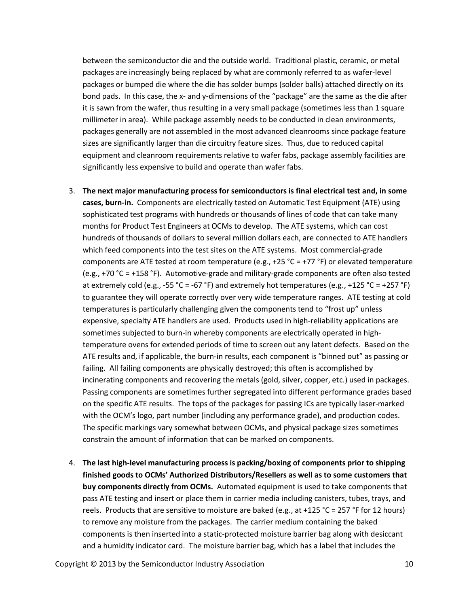between the semiconductor die and the outside world. Traditional plastic, ceramic, or metal packages are increasingly being replaced by what are commonly referred to as wafer-level packages or bumped die where the die has solder bumps (solder balls) attached directly on its bond pads. In this case, the x- and y-dimensions of the "package" are the same as the die after it is sawn from the wafer, thus resulting in a very small package (sometimes less than 1 square millimeter in area). While package assembly needs to be conducted in clean environments, packages generally are not assembled in the most advanced cleanrooms since package feature sizes are significantly larger than die circuitry feature sizes. Thus, due to reduced capital equipment and cleanroom requirements relative to wafer fabs, package assembly facilities are significantly less expensive to build and operate than wafer fabs.

- 3. **The next major manufacturing process for semiconductors is final electrical test and, in some cases, burn-in.** Components are electrically tested on Automatic Test Equipment (ATE) using sophisticated test programs with hundreds or thousands of lines of code that can take many months for Product Test Engineers at OCMs to develop. The ATE systems, which can cost hundreds of thousands of dollars to several million dollars each, are connected to ATE handlers which feed components into the test sites on the ATE systems. Most commercial-grade components are ATE tested at room temperature (e.g., +25 °C = +77 °F) or elevated temperature (e.g., +70 °C = +158 °F). Automotive-grade and military-grade components are often also tested at extremely cold (e.g., -55 °C = -67 °F) and extremely hot temperatures (e.g., +125 °C = +257 °F) to guarantee they will operate correctly over very wide temperature ranges. ATE testing at cold temperatures is particularly challenging given the components tend to "frost up" unless expensive, specialty ATE handlers are used. Products used in high-reliability applications are sometimes subjected to burn-in whereby components are electrically operated in hightemperature ovens for extended periods of time to screen out any latent defects. Based on the ATE results and, if applicable, the burn-in results, each component is "binned out" as passing or failing. All failing components are physically destroyed; this often is accomplished by incinerating components and recovering the metals (gold, silver, copper, etc.) used in packages. Passing components are sometimes further segregated into different performance grades based on the specific ATE results. The tops of the packages for passing ICs are typically laser-marked with the OCM's logo, part number (including any performance grade), and production codes. The specific markings vary somewhat between OCMs, and physical package sizes sometimes constrain the amount of information that can be marked on components.
- 4. **The last high-level manufacturing process is packing/boxing of components prior to shipping finished goods to OCMs' Authorized Distributors/Resellers as well as to some customers that buy components directly from OCMs.** Automated equipment is used to take components that pass ATE testing and insert or place them in carrier media including canisters, tubes, trays, and reels. Products that are sensitive to moisture are baked (e.g., at +125 °C = 257 °F for 12 hours) to remove any moisture from the packages. The carrier medium containing the baked components is then inserted into a static-protected moisture barrier bag along with desiccant and a humidity indicator card. The moisture barrier bag, which has a label that includes the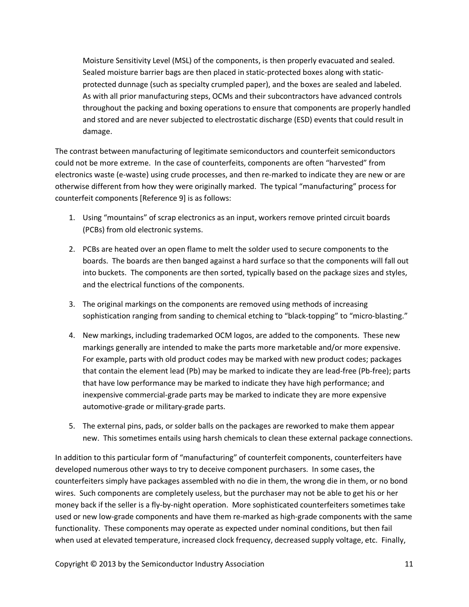Moisture Sensitivity Level (MSL) of the components, is then properly evacuated and sealed. Sealed moisture barrier bags are then placed in static-protected boxes along with staticprotected dunnage (such as specialty crumpled paper), and the boxes are sealed and labeled. As with all prior manufacturing steps, OCMs and their subcontractors have advanced controls throughout the packing and boxing operations to ensure that components are properly handled and stored and are never subjected to electrostatic discharge (ESD) events that could result in damage.

The contrast between manufacturing of legitimate semiconductors and counterfeit semiconductors could not be more extreme. In the case of counterfeits, components are often "harvested" from electronics waste (e-waste) using crude processes, and then re-marked to indicate they are new or are otherwise different from how they were originally marked. The typical "manufacturing" process for counterfeit components [Reference 9] is as follows:

- 1. Using "mountains" of scrap electronics as an input, workers remove printed circuit boards (PCBs) from old electronic systems.
- 2. PCBs are heated over an open flame to melt the solder used to secure components to the boards. The boards are then banged against a hard surface so that the components will fall out into buckets. The components are then sorted, typically based on the package sizes and styles, and the electrical functions of the components.
- 3. The original markings on the components are removed using methods of increasing sophistication ranging from sanding to chemical etching to "black-topping" to "micro-blasting."
- 4. New markings, including trademarked OCM logos, are added to the components. These new markings generally are intended to make the parts more marketable and/or more expensive. For example, parts with old product codes may be marked with new product codes; packages that contain the element lead (Pb) may be marked to indicate they are lead-free (Pb-free); parts that have low performance may be marked to indicate they have high performance; and inexpensive commercial-grade parts may be marked to indicate they are more expensive automotive-grade or military-grade parts.
- 5. The external pins, pads, or solder balls on the packages are reworked to make them appear new. This sometimes entails using harsh chemicals to clean these external package connections.

In addition to this particular form of "manufacturing" of counterfeit components, counterfeiters have developed numerous other ways to try to deceive component purchasers. In some cases, the counterfeiters simply have packages assembled with no die in them, the wrong die in them, or no bond wires. Such components are completely useless, but the purchaser may not be able to get his or her money back if the seller is a fly-by-night operation. More sophisticated counterfeiters sometimes take used or new low-grade components and have them re-marked as high-grade components with the same functionality. These components may operate as expected under nominal conditions, but then fail when used at elevated temperature, increased clock frequency, decreased supply voltage, etc. Finally,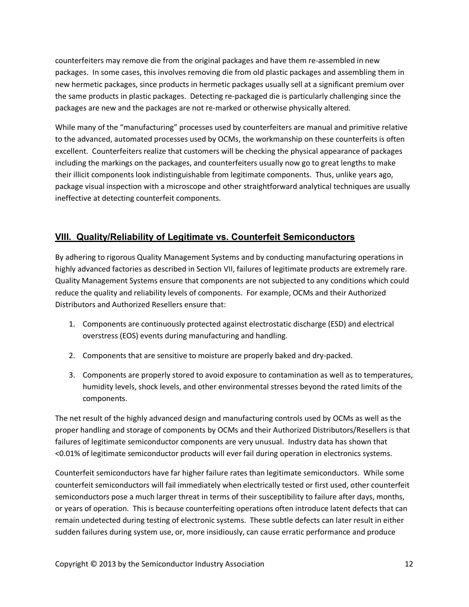counterfeiters may remove die from the original packages and have them re-assembled in new packages. In some cases, this involves removing die from old plastic packages and assembling them in new hermetic packages, since products in hermetic packages usually sell at a significant premium over the same products in plastic packages. Detecting re-packaged die is particularly challenging since the packages are new and the packages are not re-marked or otherwise physically altered.

While many of the "manufacturing" processes used by counterfeiters are manual and primitive relative to the advanced, automated processes used by OCMs, the workmanship on these counterfeits is often excellent. Counterfeiters realize that customers will be checking the physical appearance of packages including the markings on the packages, and counterfeiters usually now go to great lengths to make their illicit components look indistinguishable from legitimate components. Thus, unlike years ago, package visual inspection with a microscope and other straightforward analytical techniques are usually ineffective at detecting counterfeit components.

## <span id="page-12-0"></span>**VIII. Quality/Reliability of Legitimate vs. Counterfeit Semiconductors**

By adhering to rigorous Quality Management Systems and by conducting manufacturing operations in highly advanced factories as described in Section VII, failures of legitimate products are extremely rare. Quality Management Systems ensure that components are not subjected to any conditions which could reduce the quality and reliability levels of components. For example, OCMs and their Authorized Distributors and Authorized Resellers ensure that:

- 1. Components are continuously protected against electrostatic discharge (ESD) and electrical overstress (EOS) events during manufacturing and handling.
- 2. Components that are sensitive to moisture are properly baked and dry-packed.
- 3. Components are properly stored to avoid exposure to contamination as well as to temperatures, humidity levels, shock levels, and other environmental stresses beyond the rated limits of the components.

The net result of the highly advanced design and manufacturing controls used by OCMs as well as the proper handling and storage of components by OCMs and their Authorized Distributors/Resellers is that failures of legitimate semiconductor components are very unusual. Industry data has shown that <0.01% of legitimate semiconductor products will ever fail during operation in electronics systems.

Counterfeit semiconductors have far higher failure rates than legitimate semiconductors. While some counterfeit semiconductors will fail immediately when electrically tested or first used, other counterfeit semiconductors pose a much larger threat in terms of their susceptibility to failure after days, months, or years of operation. This is because counterfeiting operations often introduce latent defects that can remain undetected during testing of electronic systems. These subtle defects can later result in either sudden failures during system use, or, more insidiously, can cause erratic performance and produce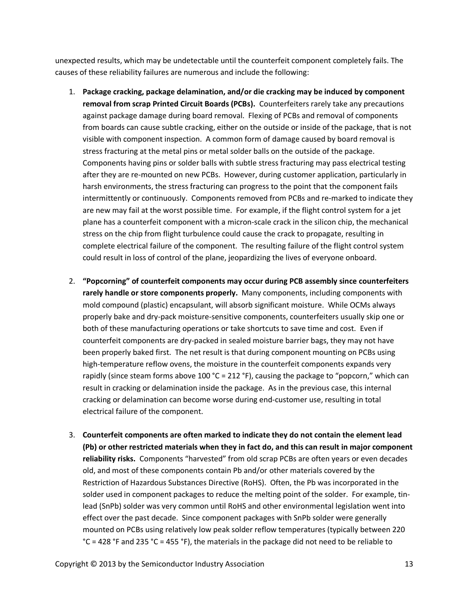unexpected results, which may be undetectable until the counterfeit component completely fails. The causes of these reliability failures are numerous and include the following:

- 1. **Package cracking, package delamination, and/or die cracking may be induced by component removal from scrap Printed Circuit Boards (PCBs).** Counterfeiters rarely take any precautions against package damage during board removal. Flexing of PCBs and removal of components from boards can cause subtle cracking, either on the outside or inside of the package, that is not visible with component inspection. A common form of damage caused by board removal is stress fracturing at the metal pins or metal solder balls on the outside of the package. Components having pins or solder balls with subtle stress fracturing may pass electrical testing after they are re-mounted on new PCBs. However, during customer application, particularly in harsh environments, the stress fracturing can progress to the point that the component fails intermittently or continuously. Components removed from PCBs and re-marked to indicate they are new may fail at the worst possible time. For example, if the flight control system for a jet plane has a counterfeit component with a micron-scale crack in the silicon chip, the mechanical stress on the chip from flight turbulence could cause the crack to propagate, resulting in complete electrical failure of the component. The resulting failure of the flight control system could result in loss of control of the plane, jeopardizing the lives of everyone onboard.
- 2. **"Popcorning" of counterfeit components may occur during PCB assembly since counterfeiters rarely handle or store components properly.** Many components, including components with mold compound (plastic) encapsulant, will absorb significant moisture. While OCMs always properly bake and dry-pack moisture-sensitive components, counterfeiters usually skip one or both of these manufacturing operations or take shortcuts to save time and cost. Even if counterfeit components are dry-packed in sealed moisture barrier bags, they may not have been properly baked first. The net result is that during component mounting on PCBs using high-temperature reflow ovens, the moisture in the counterfeit components expands very rapidly (since steam forms above  $100 °C = 212 °F$ ), causing the package to "popcorn," which can result in cracking or delamination inside the package. As in the previous case, this internal cracking or delamination can become worse during end-customer use, resulting in total electrical failure of the component.
- 3. **Counterfeit components are often marked to indicate they do not contain the element lead (Pb) or other restricted materials when they in fact do, and this can result in major component reliability risks.** Components "harvested" from old scrap PCBs are often years or even decades old, and most of these components contain Pb and/or other materials covered by the Restriction of Hazardous Substances Directive (RoHS). Often, the Pb was incorporated in the solder used in component packages to reduce the melting point of the solder. For example, tinlead (SnPb) solder was very common until RoHS and other environmental legislation went into effect over the past decade. Since component packages with SnPb solder were generally mounted on PCBs using relatively low peak solder reflow temperatures (typically between 220 °C = 428 °F and 235 °C = 455 °F), the materials in the package did not need to be reliable to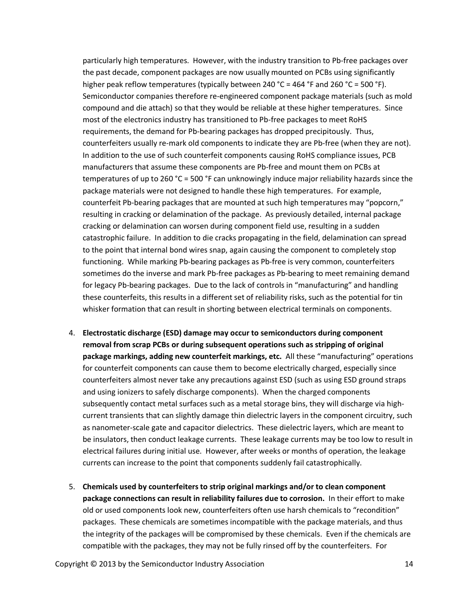particularly high temperatures. However, with the industry transition to Pb-free packages over the past decade, component packages are now usually mounted on PCBs using significantly higher peak reflow temperatures (typically between 240 °C = 464 °F and 260 °C = 500 °F). Semiconductor companies therefore re-engineered component package materials (such as mold compound and die attach) so that they would be reliable at these higher temperatures. Since most of the electronics industry has transitioned to Pb-free packages to meet RoHS requirements, the demand for Pb-bearing packages has dropped precipitously. Thus, counterfeiters usually re-mark old components to indicate they are Pb-free (when they are not). In addition to the use of such counterfeit components causing RoHS compliance issues, PCB manufacturers that assume these components are Pb-free and mount them on PCBs at temperatures of up to 260 °C = 500 °F can unknowingly induce major reliability hazards since the package materials were not designed to handle these high temperatures. For example, counterfeit Pb-bearing packages that are mounted at such high temperatures may "popcorn," resulting in cracking or delamination of the package. As previously detailed, internal package cracking or delamination can worsen during component field use, resulting in a sudden catastrophic failure. In addition to die cracks propagating in the field, delamination can spread to the point that internal bond wires snap, again causing the component to completely stop functioning. While marking Pb-bearing packages as Pb-free is very common, counterfeiters sometimes do the inverse and mark Pb-free packages as Pb-bearing to meet remaining demand for legacy Pb-bearing packages. Due to the lack of controls in "manufacturing" and handling these counterfeits, this results in a different set of reliability risks, such as the potential for tin whisker formation that can result in shorting between electrical terminals on components.

- 4. **Electrostatic discharge (ESD) damage may occur to semiconductors during component removal from scrap PCBs or during subsequent operations such as stripping of original package markings, adding new counterfeit markings, etc.** All these "manufacturing" operations for counterfeit components can cause them to become electrically charged, especially since counterfeiters almost never take any precautions against ESD (such as using ESD ground straps and using ionizers to safely discharge components). When the charged components subsequently contact metal surfaces such as a metal storage bins, they will discharge via highcurrent transients that can slightly damage thin dielectric layers in the component circuitry, such as nanometer-scale gate and capacitor dielectrics. These dielectric layers, which are meant to be insulators, then conduct leakage currents. These leakage currents may be too low to result in electrical failures during initial use. However, after weeks or months of operation, the leakage currents can increase to the point that components suddenly fail catastrophically.
- 5. **Chemicals used by counterfeiters to strip original markings and/or to clean component package connections can result in reliability failures due to corrosion.** In their effort to make old or used components look new, counterfeiters often use harsh chemicals to "recondition" packages. These chemicals are sometimes incompatible with the package materials, and thus the integrity of the packages will be compromised by these chemicals. Even if the chemicals are compatible with the packages, they may not be fully rinsed off by the counterfeiters. For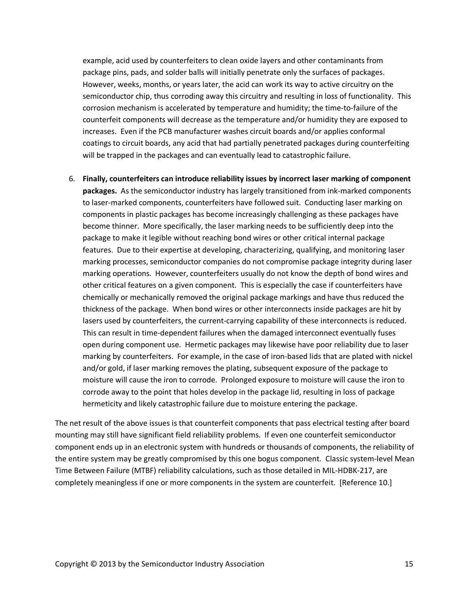example, acid used by counterfeiters to clean oxide layers and other contaminants from package pins, pads, and solder balls will initially penetrate only the surfaces of packages. However, weeks, months, or years later, the acid can work its way to active circuitry on the semiconductor chip, thus corroding away this circuitry and resulting in loss of functionality. This corrosion mechanism is accelerated by temperature and humidity; the time-to-failure of the counterfeit components will decrease as the temperature and/or humidity they are exposed to increases. Even if the PCB manufacturer washes circuit boards and/or applies conformal coatings to circuit boards, any acid that had partially penetrated packages during counterfeiting will be trapped in the packages and can eventually lead to catastrophic failure.

6. **Finally, counterfeiters can introduce reliability issues by incorrect laser marking of component packages.** As the semiconductor industry has largely transitioned from ink-marked components to laser-marked components, counterfeiters have followed suit. Conducting laser marking on components in plastic packages has become increasingly challenging as these packages have become thinner. More specifically, the laser marking needs to be sufficiently deep into the package to make it legible without reaching bond wires or other critical internal package features. Due to their expertise at developing, characterizing, qualifying, and monitoring laser marking processes, semiconductor companies do not compromise package integrity during laser marking operations. However, counterfeiters usually do not know the depth of bond wires and other critical features on a given component. This is especially the case if counterfeiters have chemically or mechanically removed the original package markings and have thus reduced the thickness of the package. When bond wires or other interconnects inside packages are hit by lasers used by counterfeiters, the current-carrying capability of these interconnects is reduced. This can result in time-dependent failures when the damaged interconnect eventually fuses open during component use. Hermetic packages may likewise have poor reliability due to laser marking by counterfeiters. For example, in the case of iron-based lids that are plated with nickel and/or gold, if laser marking removes the plating, subsequent exposure of the package to moisture will cause the iron to corrode. Prolonged exposure to moisture will cause the iron to corrode away to the point that holes develop in the package lid, resulting in loss of package hermeticity and likely catastrophic failure due to moisture entering the package.

The net result of the above issues is that counterfeit components that pass electrical testing after board mounting may still have significant field reliability problems. If even one counterfeit semiconductor component ends up in an electronic system with hundreds or thousands of components, the reliability of the entire system may be greatly compromised by this one bogus component. Classic system-level Mean Time Between Failure (MTBF) reliability calculations, such as those detailed in MIL-HDBK-217, are completely meaningless if one or more components in the system are counterfeit. [Reference 10.]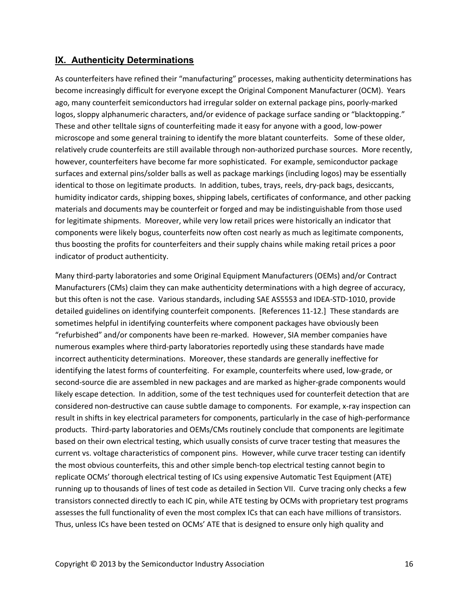## <span id="page-16-0"></span>**IX. Authenticity Determinations**

As counterfeiters have refined their "manufacturing" processes, making authenticity determinations has become increasingly difficult for everyone except the Original Component Manufacturer (OCM). Years ago, many counterfeit semiconductors had irregular solder on external package pins, poorly-marked logos, sloppy alphanumeric characters, and/or evidence of package surface sanding or "blacktopping." These and other telltale signs of counterfeiting made it easy for anyone with a good, low-power microscope and some general training to identify the more blatant counterfeits. Some of these older, relatively crude counterfeits are still available through non-authorized purchase sources. More recently, however, counterfeiters have become far more sophisticated. For example, semiconductor package surfaces and external pins/solder balls as well as package markings (including logos) may be essentially identical to those on legitimate products. In addition, tubes, trays, reels, dry-pack bags, desiccants, humidity indicator cards, shipping boxes, shipping labels, certificates of conformance, and other packing materials and documents may be counterfeit or forged and may be indistinguishable from those used for legitimate shipments. Moreover, while very low retail prices were historically an indicator that components were likely bogus, counterfeits now often cost nearly as much as legitimate components, thus boosting the profits for counterfeiters and their supply chains while making retail prices a poor indicator of product authenticity.

Many third-party laboratories and some Original Equipment Manufacturers (OEMs) and/or Contract Manufacturers (CMs) claim they can make authenticity determinations with a high degree of accuracy, but this often is not the case. Various standards, including SAE AS5553 and IDEA-STD-1010, provide detailed guidelines on identifying counterfeit components. [References 11-12.] These standards are sometimes helpful in identifying counterfeits where component packages have obviously been "refurbished" and/or components have been re-marked. However, SIA member companies have numerous examples where third-party laboratories reportedly using these standards have made incorrect authenticity determinations. Moreover, these standards are generally ineffective for identifying the latest forms of counterfeiting. For example, counterfeits where used, low-grade, or second-source die are assembled in new packages and are marked as higher-grade components would likely escape detection. In addition, some of the test techniques used for counterfeit detection that are considered non-destructive can cause subtle damage to components. For example, x-ray inspection can result in shifts in key electrical parameters for components, particularly in the case of high-performance products. Third-party laboratories and OEMs/CMs routinely conclude that components are legitimate based on their own electrical testing, which usually consists of curve tracer testing that measures the current vs. voltage characteristics of component pins. However, while curve tracer testing can identify the most obvious counterfeits, this and other simple bench-top electrical testing cannot begin to replicate OCMs' thorough electrical testing of ICs using expensive Automatic Test Equipment (ATE) running up to thousands of lines of test code as detailed in Section VII. Curve tracing only checks a few transistors connected directly to each IC pin, while ATE testing by OCMs with proprietary test programs assesses the full functionality of even the most complex ICs that can each have millions of transistors. Thus, unless ICs have been tested on OCMs' ATE that is designed to ensure only high quality and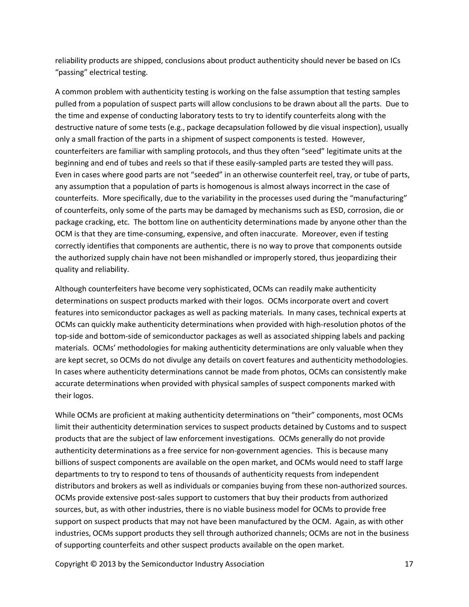reliability products are shipped, conclusions about product authenticity should never be based on ICs "passing" electrical testing.

A common problem with authenticity testing is working on the false assumption that testing samples pulled from a population of suspect parts will allow conclusions to be drawn about all the parts. Due to the time and expense of conducting laboratory tests to try to identify counterfeits along with the destructive nature of some tests (e.g., package decapsulation followed by die visual inspection), usually only a small fraction of the parts in a shipment of suspect components is tested. However, counterfeiters are familiar with sampling protocols, and thus they often "seed" legitimate units at the beginning and end of tubes and reels so that if these easily-sampled parts are tested they will pass. Even in cases where good parts are not "seeded" in an otherwise counterfeit reel, tray, or tube of parts, any assumption that a population of parts is homogenous is almost always incorrect in the case of counterfeits. More specifically, due to the variability in the processes used during the "manufacturing" of counterfeits, only some of the parts may be damaged by mechanisms such as ESD, corrosion, die or package cracking, etc. The bottom line on authenticity determinations made by anyone other than the OCM is that they are time-consuming, expensive, and often inaccurate. Moreover, even if testing correctly identifies that components are authentic, there is no way to prove that components outside the authorized supply chain have not been mishandled or improperly stored, thus jeopardizing their quality and reliability.

Although counterfeiters have become very sophisticated, OCMs can readily make authenticity determinations on suspect products marked with their logos. OCMs incorporate overt and covert features into semiconductor packages as well as packing materials. In many cases, technical experts at OCMs can quickly make authenticity determinations when provided with high-resolution photos of the top-side and bottom-side of semiconductor packages as well as associated shipping labels and packing materials. OCMs' methodologies for making authenticity determinations are only valuable when they are kept secret, so OCMs do not divulge any details on covert features and authenticity methodologies. In cases where authenticity determinations cannot be made from photos, OCMs can consistently make accurate determinations when provided with physical samples of suspect components marked with their logos.

While OCMs are proficient at making authenticity determinations on "their" components, most OCMs limit their authenticity determination services to suspect products detained by Customs and to suspect products that are the subject of law enforcement investigations. OCMs generally do not provide authenticity determinations as a free service for non-government agencies. This is because many billions of suspect components are available on the open market, and OCMs would need to staff large departments to try to respond to tens of thousands of authenticity requests from independent distributors and brokers as well as individuals or companies buying from these non-authorized sources. OCMs provide extensive post-sales support to customers that buy their products from authorized sources, but, as with other industries, there is no viable business model for OCMs to provide free support on suspect products that may not have been manufactured by the OCM. Again, as with other industries, OCMs support products they sell through authorized channels; OCMs are not in the business of supporting counterfeits and other suspect products available on the open market.

Copyright © 2013 by the Semiconductor Industry Association 17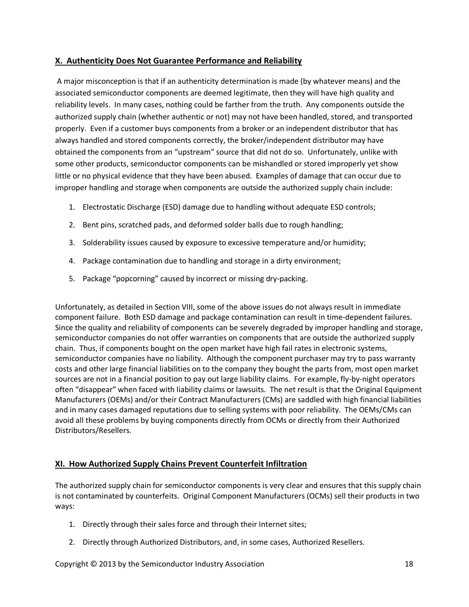#### <span id="page-18-0"></span>**X. Authenticity Does Not Guarantee Performance and Reliability**

A major misconception is that if an authenticity determination is made (by whatever means) and the associated semiconductor components are deemed legitimate, then they will have high quality and reliability levels. In many cases, nothing could be farther from the truth. Any components outside the authorized supply chain (whether authentic or not) may not have been handled, stored, and transported properly. Even if a customer buys components from a broker or an independent distributor that has always handled and stored components correctly, the broker/independent distributor may have obtained the components from an "upstream" source that did not do so. Unfortunately, unlike with some other products, semiconductor components can be mishandled or stored improperly yet show little or no physical evidence that they have been abused. Examples of damage that can occur due to improper handling and storage when components are outside the authorized supply chain include:

- 1. Electrostatic Discharge (ESD) damage due to handling without adequate ESD controls;
- 2. Bent pins, scratched pads, and deformed solder balls due to rough handling;
- 3. Solderability issues caused by exposure to excessive temperature and/or humidity;
- 4. Package contamination due to handling and storage in a dirty environment;
- 5. Package "popcorning" caused by incorrect or missing dry-packing.

Unfortunately, as detailed in Section VIII, some of the above issues do not always result in immediate component failure. Both ESD damage and package contamination can result in time-dependent failures. Since the quality and reliability of components can be severely degraded by improper handling and storage, semiconductor companies do not offer warranties on components that are outside the authorized supply chain. Thus, if components bought on the open market have high fail rates in electronic systems, semiconductor companies have no liability. Although the component purchaser may try to pass warranty costs and other large financial liabilities on to the company they bought the parts from, most open market sources are not in a financial position to pay out large liability claims. For example, fly-by-night operators often "disappear" when faced with liability claims or lawsuits. The net result is that the Original Equipment Manufacturers (OEMs) and/or their Contract Manufacturers (CMs) are saddled with high financial liabilities and in many cases damaged reputations due to selling systems with poor reliability. The OEMs/CMs can avoid all these problems by buying components directly from OCMs or directly from their Authorized Distributors/Resellers.

## <span id="page-18-1"></span>**XI. How Authorized Supply Chains Prevent Counterfeit Infiltration**

The authorized supply chain for semiconductor components is very clear and ensures that this supply chain is not contaminated by counterfeits. Original Component Manufacturers (OCMs) sell their products in two ways:

- 1. Directly through their sales force and through their Internet sites;
- 2. Directly through Authorized Distributors, and, in some cases, Authorized Resellers.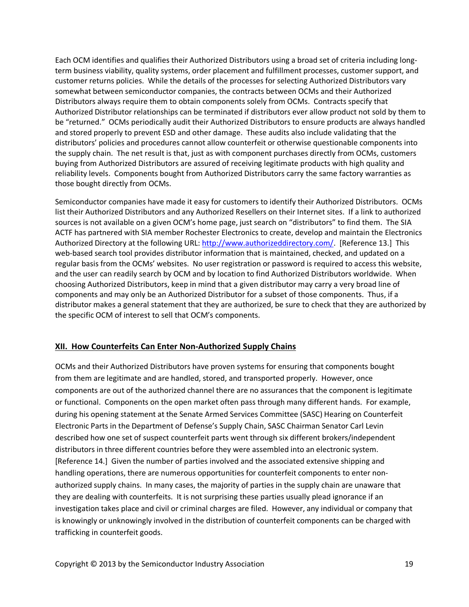Each OCM identifies and qualifies their Authorized Distributors using a broad set of criteria including longterm business viability, quality systems, order placement and fulfillment processes, customer support, and customer returns policies. While the details of the processes for selecting Authorized Distributors vary somewhat between semiconductor companies, the contracts between OCMs and their Authorized Distributors always require them to obtain components solely from OCMs. Contracts specify that Authorized Distributor relationships can be terminated if distributors ever allow product not sold by them to be "returned." OCMs periodically audit their Authorized Distributors to ensure products are always handled and stored properly to prevent ESD and other damage. These audits also include validating that the distributors' policies and procedures cannot allow counterfeit or otherwise questionable components into the supply chain. The net result is that, just as with component purchases directly from OCMs, customers buying from Authorized Distributors are assured of receiving legitimate products with high quality and reliability levels. Components bought from Authorized Distributors carry the same factory warranties as those bought directly from OCMs.

Semiconductor companies have made it easy for customers to identify their Authorized Distributors. OCMs list their Authorized Distributors and any Authorized Resellers on their Internet sites. If a link to authorized sources is not available on a given OCM's home page, just search on "distributors" to find them. The SIA ACTF has partnered with SIA member Rochester Electronics to create, develop and maintain the Electronics Authorized Directory at the following URL: <http://www.authorizeddirectory.com/>. [Reference 13.] This web-based search tool provides distributor information that is maintained, checked, and updated on a regular basis from the OCMs' websites. No user registration or password is required to access this website, and the user can readily search by OCM and by location to find Authorized Distributors worldwide. When choosing Authorized Distributors, keep in mind that a given distributor may carry a very broad line of components and may only be an Authorized Distributor for a subset of those components. Thus, if a distributor makes a general statement that they are authorized, be sure to check that they are authorized by the specific OCM of interest to sell that OCM's components.

#### <span id="page-19-0"></span>**XII. How Counterfeits Can Enter Non-Authorized Supply Chains**

OCMs and their Authorized Distributors have proven systems for ensuring that components bought from them are legitimate and are handled, stored, and transported properly. However, once components are out of the authorized channel there are no assurances that the component is legitimate or functional. Components on the open market often pass through many different hands. For example, during his opening statement at the Senate Armed Services Committee (SASC) Hearing on Counterfeit Electronic Parts in the Department of Defense's Supply Chain, SASC Chairman Senator Carl Levin described how one set of suspect counterfeit parts went through six different brokers/independent distributors in three different countries before they were assembled into an electronic system. [Reference 14.] Given the number of parties involved and the associated extensive shipping and handling operations, there are numerous opportunities for counterfeit components to enter nonauthorized supply chains. In many cases, the majority of parties in the supply chain are unaware that they are dealing with counterfeits. It is not surprising these parties usually plead ignorance if an investigation takes place and civil or criminal charges are filed. However, any individual or company that is knowingly or unknowingly involved in the distribution of counterfeit components can be charged with trafficking in counterfeit goods.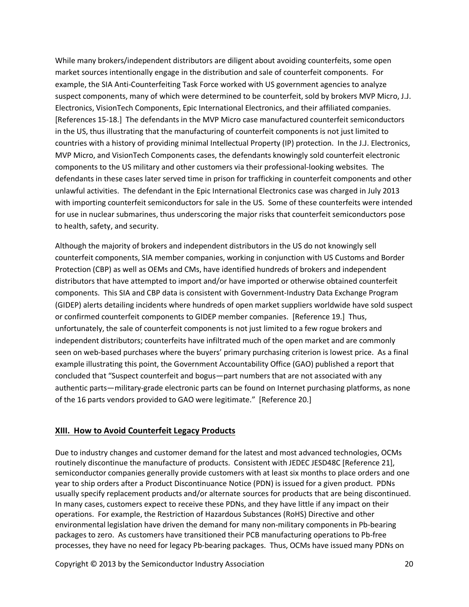While many brokers/independent distributors are diligent about avoiding counterfeits, some open market sources intentionally engage in the distribution and sale of counterfeit components. For example, the SIA Anti-Counterfeiting Task Force worked with US government agencies to analyze suspect components, many of which were determined to be counterfeit, sold by brokers MVP Micro, J.J. Electronics, VisionTech Components, Epic International Electronics, and their affiliated companies. [References 15-18.] The defendants in the MVP Micro case manufactured counterfeit semiconductors in the US, thus illustrating that the manufacturing of counterfeit components is not just limited to countries with a history of providing minimal Intellectual Property (IP) protection. In the J.J. Electronics, MVP Micro, and VisionTech Components cases, the defendants knowingly sold counterfeit electronic components to the US military and other customers via their professional-looking websites. The defendants in these cases later served time in prison for trafficking in counterfeit components and other unlawful activities. The defendant in the Epic International Electronics case was charged in July 2013 with importing counterfeit semiconductors for sale in the US. Some of these counterfeits were intended for use in nuclear submarines, thus underscoring the major risks that counterfeit semiconductors pose to health, safety, and security.

Although the majority of brokers and independent distributors in the US do not knowingly sell counterfeit components, SIA member companies, working in conjunction with US Customs and Border Protection (CBP) as well as OEMs and CMs, have identified hundreds of brokers and independent distributors that have attempted to import and/or have imported or otherwise obtained counterfeit components. This SIA and CBP data is consistent with Government-Industry Data Exchange Program (GIDEP) alerts detailing incidents where hundreds of open market suppliers worldwide have sold suspect or confirmed counterfeit components to GIDEP member companies. [Reference 19.] Thus, unfortunately, the sale of counterfeit components is not just limited to a few rogue brokers and independent distributors; counterfeits have infiltrated much of the open market and are commonly seen on web-based purchases where the buyers' primary purchasing criterion is lowest price. As a final example illustrating this point, the Government Accountability Office (GAO) published a report that concluded that "Suspect counterfeit and bogus—part numbers that are not associated with any authentic parts—military-grade electronic parts can be found on Internet purchasing platforms, as none of the 16 parts vendors provided to GAO were legitimate." [Reference 20.]

#### <span id="page-20-0"></span>**XIII. How to Avoid Counterfeit Legacy Products**

Due to industry changes and customer demand for the latest and most advanced technologies, OCMs routinely discontinue the manufacture of products. Consistent with JEDEC JESD48C [Reference 21], semiconductor companies generally provide customers with at least six months to place orders and one year to ship orders after a Product Discontinuance Notice (PDN) is issued for a given product. PDNs usually specify replacement products and/or alternate sources for products that are being discontinued. In many cases, customers expect to receive these PDNs, and they have little if any impact on their operations. For example, the Restriction of Hazardous Substances (RoHS) Directive and other environmental legislation have driven the demand for many non-military components in Pb-bearing packages to zero. As customers have transitioned their PCB manufacturing operations to Pb-free processes, they have no need for legacy Pb-bearing packages. Thus, OCMs have issued many PDNs on

Copyright © 2013 by the Semiconductor Industry Association 20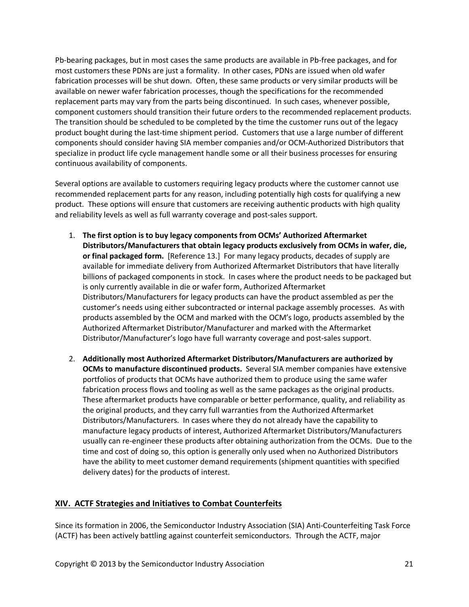Pb-bearing packages, but in most cases the same products are available in Pb-free packages, and for most customers these PDNs are just a formality. In other cases, PDNs are issued when old wafer fabrication processes will be shut down. Often, these same products or very similar products will be available on newer wafer fabrication processes, though the specifications for the recommended replacement parts may vary from the parts being discontinued. In such cases, whenever possible, component customers should transition their future orders to the recommended replacement products. The transition should be scheduled to be completed by the time the customer runs out of the legacy product bought during the last-time shipment period. Customers that use a large number of different components should consider having SIA member companies and/or OCM-Authorized Distributors that specialize in product life cycle management handle some or all their business processes for ensuring continuous availability of components.

Several options are available to customers requiring legacy products where the customer cannot use recommended replacement parts for any reason, including potentially high costs for qualifying a new product. These options will ensure that customers are receiving authentic products with high quality and reliability levels as well as full warranty coverage and post-sales support.

- 1. **The first option is to buy legacy components from OCMs' Authorized Aftermarket Distributors/Manufacturers that obtain legacy products exclusively from OCMs in wafer, die, or final packaged form.** [Reference 13.] For many legacy products, decades of supply are available for immediate delivery from Authorized Aftermarket Distributors that have literally billions of packaged components in stock. In cases where the product needs to be packaged but is only currently available in die or wafer form, Authorized Aftermarket Distributors/Manufacturers for legacy products can have the product assembled as per the customer's needs using either subcontracted or internal package assembly processes. As with products assembled by the OCM and marked with the OCM's logo, products assembled by the Authorized Aftermarket Distributor/Manufacturer and marked with the Aftermarket Distributor/Manufacturer's logo have full warranty coverage and post-sales support.
- 2. **Additionally most Authorized Aftermarket Distributors/Manufacturers are authorized by OCMs to manufacture discontinued products.** Several SIA member companies have extensive portfolios of products that OCMs have authorized them to produce using the same wafer fabrication process flows and tooling as well as the same packages as the original products. These aftermarket products have comparable or better performance, quality, and reliability as the original products, and they carry full warranties from the Authorized Aftermarket Distributors/Manufacturers. In cases where they do not already have the capability to manufacture legacy products of interest, Authorized Aftermarket Distributors/Manufacturers usually can re-engineer these products after obtaining authorization from the OCMs. Due to the time and cost of doing so, this option is generally only used when no Authorized Distributors have the ability to meet customer demand requirements (shipment quantities with specified delivery dates) for the products of interest.

#### <span id="page-21-0"></span>**XIV. ACTF Strategies and Initiatives to Combat Counterfeits**

Since its formation in 2006, the Semiconductor Industry Association (SIA) Anti-Counterfeiting Task Force (ACTF) has been actively battling against counterfeit semiconductors. Through the ACTF, major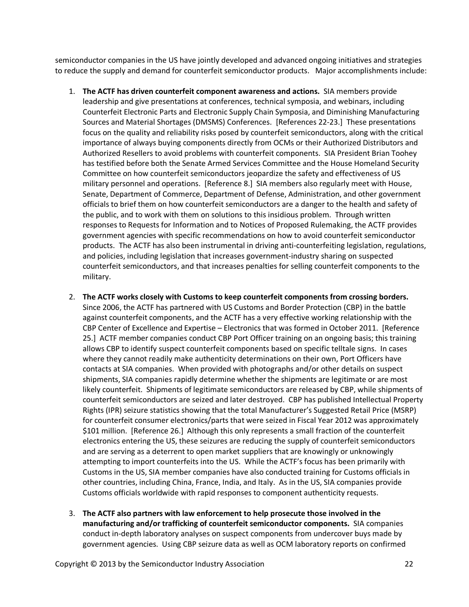semiconductor companies in the US have jointly developed and advanced ongoing initiatives and strategies to reduce the supply and demand for counterfeit semiconductor products. Major accomplishments include:

- 1. **The ACTF has driven counterfeit component awareness and actions.** SIA members provide leadership and give presentations at conferences, technical symposia, and webinars, including Counterfeit Electronic Parts and Electronic Supply Chain Symposia, and Diminishing Manufacturing Sources and Material Shortages (DMSMS) Conferences. [References 22-23.] These presentations focus on the quality and reliability risks posed by counterfeit semiconductors, along with the critical importance of always buying components directly from OCMs or their Authorized Distributors and Authorized Resellers to avoid problems with counterfeit components. SIA President Brian Toohey has testified before both the Senate Armed Services Committee and the House Homeland Security Committee on how counterfeit semiconductors jeopardize the safety and effectiveness of US military personnel and operations. [Reference 8.] SIA members also regularly meet with House, Senate, Department of Commerce, Department of Defense, Administration, and other government officials to brief them on how counterfeit semiconductors are a danger to the health and safety of the public, and to work with them on solutions to this insidious problem. Through written responses to Requests for Information and to Notices of Proposed Rulemaking, the ACTF provides government agencies with specific recommendations on how to avoid counterfeit semiconductor products. The ACTF has also been instrumental in driving anti-counterfeiting legislation, regulations, and policies, including legislation that increases government-industry sharing on suspected counterfeit semiconductors, and that increases penalties for selling counterfeit components to the military.
- 2. **The ACTF works closely with Customs to keep counterfeit components from crossing borders.** Since 2006, the ACTF has partnered with US Customs and Border Protection (CBP) in the battle against counterfeit components, and the ACTF has a very effective working relationship with the CBP Center of Excellence and Expertise – Electronics that was formed in October 2011. [Reference 25.] ACTF member companies conduct CBP Port Officer training on an ongoing basis; this training allows CBP to identify suspect counterfeit components based on specific telltale signs. In cases where they cannot readily make authenticity determinations on their own, Port Officers have contacts at SIA companies. When provided with photographs and/or other details on suspect shipments, SIA companies rapidly determine whether the shipments are legitimate or are most likely counterfeit. Shipments of legitimate semiconductors are released by CBP, while shipments of counterfeit semiconductors are seized and later destroyed. CBP has published Intellectual Property Rights (IPR) seizure statistics showing that the total Manufacturer's Suggested Retail Price (MSRP) for counterfeit consumer electronics/parts that were seized in Fiscal Year 2012 was approximately \$101 million. [Reference 26.] Although this only represents a small fraction of the counterfeit electronics entering the US, these seizures are reducing the supply of counterfeit semiconductors and are serving as a deterrent to open market suppliers that are knowingly or unknowingly attempting to import counterfeits into the US. While the ACTF's focus has been primarily with Customs in the US, SIA member companies have also conducted training for Customs officials in other countries, including China, France, India, and Italy. As in the US, SIA companies provide Customs officials worldwide with rapid responses to component authenticity requests.
- 3. **The ACTF also partners with law enforcement to help prosecute those involved in the manufacturing and/or trafficking of counterfeit semiconductor components.** SIA companies conduct in-depth laboratory analyses on suspect components from undercover buys made by government agencies. Using CBP seizure data as well as OCM laboratory reports on confirmed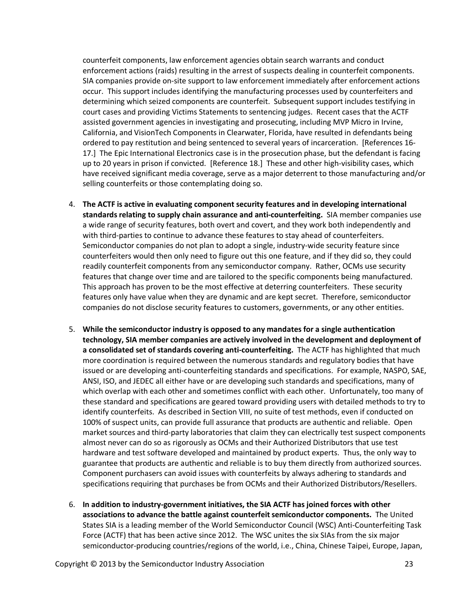counterfeit components, law enforcement agencies obtain search warrants and conduct enforcement actions (raids) resulting in the arrest of suspects dealing in counterfeit components. SIA companies provide on-site support to law enforcement immediately after enforcement actions occur. This support includes identifying the manufacturing processes used by counterfeiters and determining which seized components are counterfeit. Subsequent support includes testifying in court cases and providing Victims Statements to sentencing judges. Recent cases that the ACTF assisted government agencies in investigating and prosecuting, including MVP Micro in Irvine, California, and VisionTech Components in Clearwater, Florida, have resulted in defendants being ordered to pay restitution and being sentenced to several years of incarceration. [References 16- 17.] The Epic International Electronics case is in the prosecution phase, but the defendant is facing up to 20 years in prison if convicted. [Reference 18.] These and other high-visibility cases, which have received significant media coverage, serve as a major deterrent to those manufacturing and/or selling counterfeits or those contemplating doing so.

- 4. **The ACTF is active in evaluating component security features and in developing international standards relating to supply chain assurance and anti-counterfeiting.** SIA member companies use a wide range of security features, both overt and covert, and they work both independently and with third-parties to continue to advance these features to stay ahead of counterfeiters. Semiconductor companies do not plan to adopt a single, industry-wide security feature since counterfeiters would then only need to figure out this one feature, and if they did so, they could readily counterfeit components from any semiconductor company. Rather, OCMs use security features that change over time and are tailored to the specific components being manufactured. This approach has proven to be the most effective at deterring counterfeiters. These security features only have value when they are dynamic and are kept secret. Therefore, semiconductor companies do not disclose security features to customers, governments, or any other entities.
- 5. **While the semiconductor industry is opposed to any mandates for a single authentication technology, SIA member companies are actively involved in the development and deployment of a consolidated set of standards covering anti-counterfeiting.** The ACTF has highlighted that much more coordination is required between the numerous standards and regulatory bodies that have issued or are developing anti-counterfeiting standards and specifications. For example, NASPO, SAE, ANSI, ISO, and JEDEC all either have or are developing such standards and specifications, many of which overlap with each other and sometimes conflict with each other. Unfortunately, too many of these standard and specifications are geared toward providing users with detailed methods to try to identify counterfeits. As described in Section VIII, no suite of test methods, even if conducted on 100% of suspect units, can provide full assurance that products are authentic and reliable. Open market sources and third-party laboratories that claim they can electrically test suspect components almost never can do so as rigorously as OCMs and their Authorized Distributors that use test hardware and test software developed and maintained by product experts. Thus, the only way to guarantee that products are authentic and reliable is to buy them directly from authorized sources. Component purchasers can avoid issues with counterfeits by always adhering to standards and specifications requiring that purchases be from OCMs and their Authorized Distributors/Resellers.
- 6. **In addition to industry-government initiatives, the SIA ACTF has joined forces with other associations to advance the battle against counterfeit semiconductor components.** The United States SIA is a leading member of the World Semiconductor Council (WSC) Anti-Counterfeiting Task Force (ACTF) that has been active since 2012. The WSC unites the six SIAs from the six major semiconductor-producing countries/regions of the world, i.e., China, Chinese Taipei, Europe, Japan,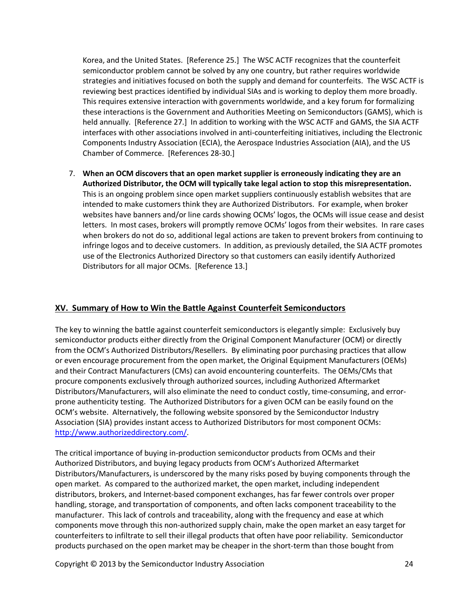Korea, and the United States. [Reference 25.] The WSC ACTF recognizes that the counterfeit semiconductor problem cannot be solved by any one country, but rather requires worldwide strategies and initiatives focused on both the supply and demand for counterfeits. The WSC ACTF is reviewing best practices identified by individual SIAs and is working to deploy them more broadly. This requires extensive interaction with governments worldwide, and a key forum for formalizing these interactions is the Government and Authorities Meeting on Semiconductors (GAMS), which is held annually. [Reference 27.] In addition to working with the WSC ACTF and GAMS, the SIA ACTF interfaces with other associations involved in anti-counterfeiting initiatives, including the Electronic Components Industry Association (ECIA), the Aerospace Industries Association (AIA), and the US Chamber of Commerce. [References 28-30.]

7. **When an OCM discovers that an open market supplier is erroneously indicating they are an Authorized Distributor, the OCM will typically take legal action to stop this misrepresentation.** This is an ongoing problem since open market suppliers continuously establish websites that are intended to make customers think they are Authorized Distributors. For example, when broker websites have banners and/or line cards showing OCMs' logos, the OCMs will issue cease and desist letters. In most cases, brokers will promptly remove OCMs' logos from their websites. In rare cases when brokers do not do so, additional legal actions are taken to prevent brokers from continuing to infringe logos and to deceive customers. In addition, as previously detailed, the SIA ACTF promotes use of the Electronics Authorized Directory so that customers can easily identify Authorized Distributors for all major OCMs. [Reference 13.]

#### <span id="page-24-0"></span>**XV. Summary of How to Win the Battle Against Counterfeit Semiconductors**

The key to winning the battle against counterfeit semiconductors is elegantly simple: Exclusively buy semiconductor products either directly from the Original Component Manufacturer (OCM) or directly from the OCM's Authorized Distributors/Resellers. By eliminating poor purchasing practices that allow or even encourage procurement from the open market, the Original Equipment Manufacturers (OEMs) and their Contract Manufacturers (CMs) can avoid encountering counterfeits. The OEMs/CMs that procure components exclusively through authorized sources, including Authorized Aftermarket Distributors/Manufacturers, will also eliminate the need to conduct costly, time-consuming, and errorprone authenticity testing. The Authorized Distributors for a given OCM can be easily found on the OCM's website. Alternatively, the following website sponsored by the Semiconductor Industry Association (SIA) provides instant access to Authorized Distributors for most component OCMs: [http://www.authorizeddirectory.com/.](http://www.authorizeddirectory.com/)

The critical importance of buying in-production semiconductor products from OCMs and their Authorized Distributors, and buying legacy products from OCM's Authorized Aftermarket Distributors/Manufacturers, is underscored by the many risks posed by buying components through the open market. As compared to the authorized market, the open market, including independent distributors, brokers, and Internet-based component exchanges, has far fewer controls over proper handling, storage, and transportation of components, and often lacks component traceability to the manufacturer. This lack of controls and traceability, along with the frequency and ease at which components move through this non-authorized supply chain, make the open market an easy target for counterfeiters to infiltrate to sell their illegal products that often have poor reliability. Semiconductor products purchased on the open market may be cheaper in the short-term than those bought from

Copyright © 2013 by the Semiconductor Industry Association 24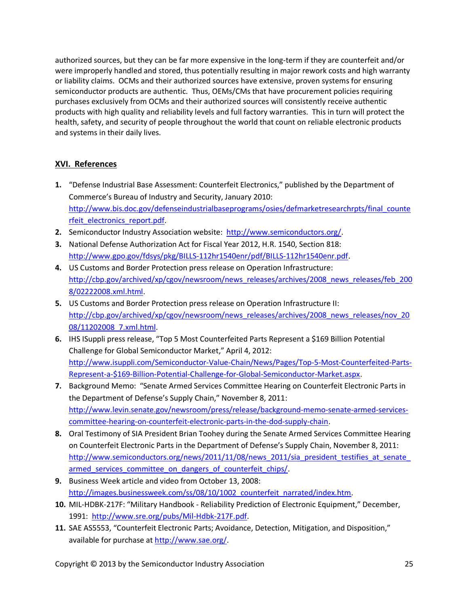authorized sources, but they can be far more expensive in the long-term if they are counterfeit and/or were improperly handled and stored, thus potentially resulting in major rework costs and high warranty or liability claims. OCMs and their authorized sources have extensive, proven systems for ensuring semiconductor products are authentic. Thus, OEMs/CMs that have procurement policies requiring purchases exclusively from OCMs and their authorized sources will consistently receive authentic products with high quality and reliability levels and full factory warranties. This in turn will protect the health, safety, and security of people throughout the world that count on reliable electronic products and systems in their daily lives.

#### <span id="page-25-0"></span>**XVI. References**

- **1.** "Defense Industrial Base Assessment: Counterfeit Electronics," published by the Department of Commerce's Bureau of Industry and Security, January 2010: [http://www.bis.doc.gov/defenseindustrialbaseprograms/osies/defmarketresearchrpts/final\\_counte](http://www.bis.doc.gov/defenseindustrialbaseprograms/osies/defmarketresearchrpts/final_counterfeit_electronics_report.pdf) rfeit electronics report.pdf.
- **2.** Semiconductor Industry Association website: <http://www.semiconductors.org/>.
- **3.** National Defense Authorization Act for Fiscal Year 2012, H.R. 1540, Section 818: [http://www.gpo.gov/fdsys/pkg/BILLS-112hr1540enr/pdf/BILLS-112hr1540enr.pdf.](http://www.gpo.gov/fdsys/pkg/BILLS-112hr1540enr/pdf/BILLS-112hr1540enr.pdf)
- **4.** US Customs and Border Protection press release on Operation Infrastructure: [http://cbp.gov/archived/xp/cgov/newsroom/news\\_releases/archives/2008\\_news\\_releases/feb\\_200](http://cbp.gov/archived/xp/cgov/newsroom/news_releases/archives/2008_news_releases/feb_2008/02222008.xml.html) [8/02222008.xml.html.](http://cbp.gov/archived/xp/cgov/newsroom/news_releases/archives/2008_news_releases/feb_2008/02222008.xml.html)
- **5.** US Customs and Border Protection press release on Operation Infrastructure II: [http://cbp.gov/archived/xp/cgov/newsroom/news\\_releases/archives/2008\\_news\\_releases/nov\\_20](http://cbp.gov/archived/xp/cgov/newsroom/news_releases/archives/2008_news_releases/nov_2008/11202008_7.xml.html) [08/11202008\\_7.xml.html.](http://cbp.gov/archived/xp/cgov/newsroom/news_releases/archives/2008_news_releases/nov_2008/11202008_7.xml.html)
- **6.** IHS ISuppli press release, "Top 5 Most Counterfeited Parts Represent a \$169 Billion Potential Challenge for Global Semiconductor Market," April 4, 2012: [http://www.isuppli.com/Semiconductor-Value-Chain/News/Pages/Top-5-Most-Counterfeited-Parts-](http://www.isuppli.com/Semiconductor-Value-Chain/News/Pages/Top-5-Most-Counterfeited-Parts-Represent-a-$169-Billion-Potential-Challenge-for-Global-Semiconductor-Market.aspx)[Represent-a-\\$169-Billion-Potential-Challenge-for-Global-Semiconductor-Market.aspx](http://www.isuppli.com/Semiconductor-Value-Chain/News/Pages/Top-5-Most-Counterfeited-Parts-Represent-a-$169-Billion-Potential-Challenge-for-Global-Semiconductor-Market.aspx).
- **7.** Background Memo: "Senate Armed Services Committee Hearing on Counterfeit Electronic Parts in the Department of Defense's Supply Chain," November 8, 2011: [http://www.levin.senate.gov/newsroom/press/release/background-memo-senate-armed-services](http://www.levin.senate.gov/newsroom/press/release/background-memo-senate-armed-services-committee-hearing-on-counterfeit-electronic-parts-in-the-dod-supply-chain)[committee-hearing-on-counterfeit-electronic-parts-in-the-dod-supply-chain.](http://www.levin.senate.gov/newsroom/press/release/background-memo-senate-armed-services-committee-hearing-on-counterfeit-electronic-parts-in-the-dod-supply-chain)
- **8.** Oral Testimony of SIA President Brian Toohey during the Senate Armed Services Committee Hearing on Counterfeit Electronic Parts in the Department of Defense's Supply Chain, November 8, 2011: [http://www.semiconductors.org/news/2011/11/08/news\\_2011/sia\\_president\\_testifies\\_at\\_senate\\_](http://www.semiconductors.org/news/2011/11/08/news_2011/sia_president_testifies_at_senate_armed_services_committee_on_dangers_of_counterfeit_chips/) armed services committee on dangers of counterfeit chips/.
- **9.** Business Week article and video from October 13, 2008: http://images.businessweek.com/ss/08/10/1002 counterfeit\_narrated/index.htm.
- **10.** MIL-HDBK-217F: "Military Handbook Reliability Prediction of Electronic Equipment," December, 1991: <http://www.sre.org/pubs/Mil-Hdbk-217F.pdf>.
- **11.** SAE AS5553, "Counterfeit Electronic Parts; Avoidance, Detection, Mitigation, and Disposition," available for purchase at <http://www.sae.org/>.

Copyright © 2013 by the Semiconductor Industry Association 25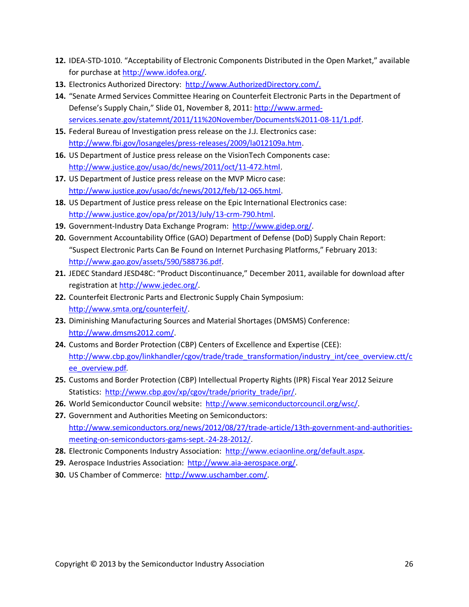- **12.** IDEA-STD-1010. "Acceptability of Electronic Components Distributed in the Open Market," available for purchase at <http://www.idofea.org/>.
- **13.** Electronics Authorized Directory: [http://www.AuthorizedDirectory.com/.](http://www.authorizeddirectory.com/)
- **14.** "Senate Armed Services Committee Hearing on Counterfeit Electronic Parts in the Department of Defense's Supply Chain," Slide 01, November 8, 2011: [http://www.armed](http://www.armed-services.senate.gov/statemnt/2011/11 November/Documents 11-08-11/1.pdf)[services.senate.gov/statemnt/2011/11%20November/Documents%2011-08-11/1.pdf.](http://www.armed-services.senate.gov/statemnt/2011/11 November/Documents 11-08-11/1.pdf)
- **15.** Federal Bureau of Investigation press release on the J.J. Electronics case: <http://www.fbi.gov/losangeles/press-releases/2009/la012109a.htm>.
- **16.** US Department of Justice press release on the VisionTech Components case: <http://www.justice.gov/usao/dc/news/2011/oct/11-472.html>.
- **17.** US Department of Justice press release on the MVP Micro case: <http://www.justice.gov/usao/dc/news/2012/feb/12-065.html>.
- **18.** US Department of Justice press release on the Epic International Electronics case: [http://www.justice.gov/opa/pr/2013/July/13-crm-790.html.](http://www.justice.gov/opa/pr/2013/July/13-crm-790.html)
- **19.** Government-Industry Data Exchange Program: <http://www.gidep.org/>.
- **20.** Government Accountability Office (GAO) Department of Defense (DoD) Supply Chain Report: "Suspect Electronic Parts Can Be Found on Internet Purchasing Platforms," February 2013: <http://www.gao.gov/assets/590/588736.pdf>.
- **21.** JEDEC Standard JESD48C: "Product Discontinuance," December 2011, available for download after registration at [http://www.jedec.org/.](http://www.jedec.org/)
- **22.** Counterfeit Electronic Parts and Electronic Supply Chain Symposium: <http://www.smta.org/counterfeit/>.
- **23.** Diminishing Manufacturing Sources and Material Shortages (DMSMS) Conference: <http://www.dmsms2012.com/>.
- **24.** Customs and Border Protection (CBP) Centers of Excellence and Expertise (CEE): [http://www.cbp.gov/linkhandler/cgov/trade/trade\\_transformation/industry\\_int/cee\\_overview.ctt/c](http://www.cbp.gov/linkhandler/cgov/trade/trade_transformation/industry_int/cee_overview.ctt/cee_overview.pdf) [ee\\_overview.pdf](http://www.cbp.gov/linkhandler/cgov/trade/trade_transformation/industry_int/cee_overview.ctt/cee_overview.pdf)*.*
- **25.** Customs and Border Protection (CBP) Intellectual Property Rights (IPR) Fiscal Year 2012 Seizure Statistics: [http://www.cbp.gov/xp/cgov/trade/priority\\_trade/ipr/](http://www.cbp.gov/xp/cgov/trade/priority_trade/ipr/).
- **26.** World Semiconductor Council website: <http://www.semiconductorcouncil.org/wsc/>.
- **27.** Government and Authorities Meeting on Semiconductors: [http://www.semiconductors.org/news/2012/08/27/trade-article/13th-government-and-authorities](http://www.semiconductors.org/news/2012/08/27/trade-article/13th-government-and-authorities-meeting-on-semiconductors-gams-sept.-24-28-2012/)[meeting-on-semiconductors-gams-sept.-24-28-2012/](http://www.semiconductors.org/news/2012/08/27/trade-article/13th-government-and-authorities-meeting-on-semiconductors-gams-sept.-24-28-2012/).
- **28.** Electronic Components Industry Association: <http://www.eciaonline.org/default.aspx>.
- **29.** Aerospace Industries Association: <http://www.aia-aerospace.org/>.
- **30.** US Chamber of Commerce: [http://www.uschamber.com/.](http://www.uschamber.com/)